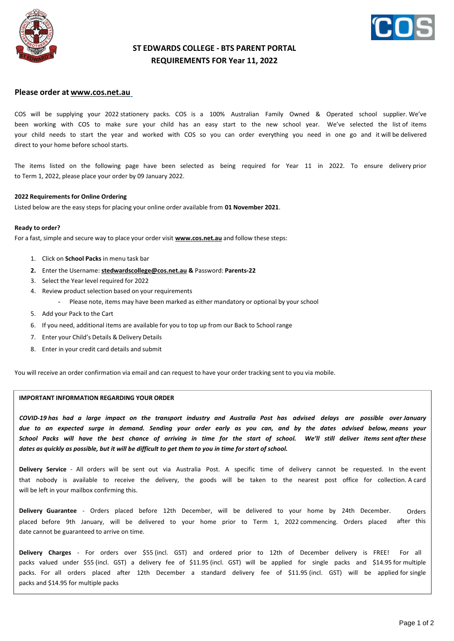



## **ST EDWARDS COLLEGE - BTS PARENT PORTAL REQUIREMENTS FOR Year 11, 2022**

### **Please order at [www.cos.net.au](http://www.cos.net.au/)**

COS will be supplying your 2022 stationery packs. COS is a 100% Australian Family Owned & Operated school supplier. We've been working with COS to make sure your child has an easy start to the new school year. We've selected the list of items your child needs to start the year and worked with COS so you can order everything you need in one go and it will be delivered direct to your home before school starts.

The items listed on the following page have been selected as being required for Year 11 in 2022. To ensure delivery prior to Term 1, 2022, please place your order by 09 January 2022.

#### **2022 Requirements for Online Ordering**

Listed below are the easy steps for placing your online order available from **01 November 2021**.

#### **Ready to order?**

For a fast, simple and secure way to place your order visit **[www.cos.net.au](http://www.cos.net.au/)** and follow these steps:

- 1. Click on **School Packs** in menu task bar
- **2.** Enter the Username: **[stedwardscollege@cos.net.au](mailto:stedwardscollege@cos.net.au) &** Password: **Parents-22**
- 3. Select the Year level required for 2022
- 4. Review product selection based on your requirements
	- Please note, items may have been marked as either mandatory or optional by your school
- 5. Add your Pack to the Cart
- 6. If you need, additional items are available for you to top up from our Back to School range
- 7. Enter your Child's Details & Delivery Details
- 8. Enter in your credit card details and submit

You will receive an order confirmation via email and can request to have your order tracking sent to you via mobile.

#### **IMPORTANT INFORMATION REGARDING YOUR ORDER**

*COVID-19 has had a large impact on the transport industry and Australia Post has advised delays are possible over January due to an expected surge in demand. Sending your order early as you can, and by the dates advised below, means your School Packs will have the best chance of arriving in time for the start of school. We'll still deliver items sent after these* dates as quickly as possible, but it will be difficult to get them to you in time for start of school.

**Delivery Service** - All orders will be sent out via Australia Post. A specific time of delivery cannot be requested. In the event that nobody is available to receive the delivery, the goods will be taken to the nearest post office for collection. A card will be left in your mailbox confirming this.

**Delivery Guarantee** - Orders placed before 12th December, will be delivered to your home by 24th December. placed before 9th January, will be delivered to your home prior to Term 1, 2022 commencing. Orders placed date cannot be guaranteed to arrive on time. Orders after this

**Delivery Charges** - For orders over \$55 (incl. GST) and ordered prior to 12th of December delivery is FREE! For all packs valued under \$55 (incl. GST) a delivery fee of \$11.95 (incl. GST) will be applied for single packs and \$14.95 for multiple packs. For all orders placed after 12th December a standard delivery fee of \$11.95 (incl. GST) will be applied for single packs and \$14.95 for multiple packs